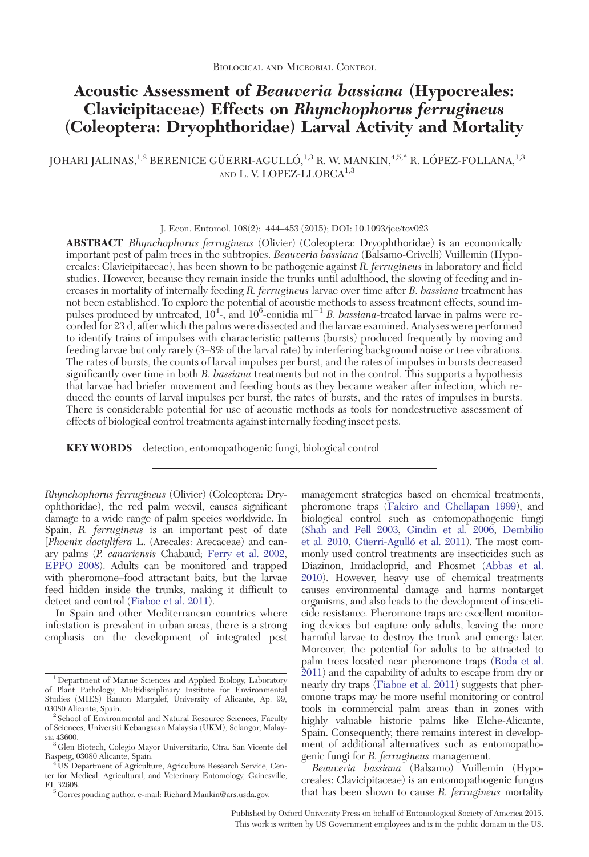# Acoustic Assessment of Beauveria bassiana (Hypocreales: Clavicipitaceae) Effects on Rhynchophorus ferrugineus (Coleoptera: Dryophthoridae) Larval Activity and Mortality

JOHARI JALINAS,<sup>1,2</sup> BERENICE GÜERRI-AGULLÓ,<sup>1,3</sup> R. W. MANKIN,<sup>4,5,\*</sup> R. LÓPEZ-FOLLANA,<sup>1,3</sup> AND L. V. LOPEZ-LLORCA<sup>1,3</sup>

ABSTRACT Rhynchophorus ferrugineus (Olivier) (Coleoptera: Dryophthoridae) is an economically important pest of palm trees in the subtropics. Beauveria bassiana (Balsamo-Crivelli) Vuillemin (Hypocreales: Clavicipitaceae), has been shown to be pathogenic against R. ferrugineus in laboratory and field studies. However, because they remain inside the trunks until adulthood, the slowing of feeding and increases in mortality of internally feeding R. ferrugineus larvae over time after B. bassiana treatment has not been established. To explore the potential of acoustic methods to assess treatment effects, sound impulses produced by untreated,  $10^4$ -, and  $10^6$ -conidia ml<sup>-1</sup> B. bassiana-treated larvae in palms were recorded for 23 d, after which the palms were dissected and the larvae examined. Analyses were performed to identify trains of impulses with characteristic patterns (bursts) produced frequently by moving and feeding larvae but only rarely (3–8% of the larval rate) by interfering background noise or tree vibrations. The rates of bursts, the counts of larval impulses per burst, and the rates of impulses in bursts decreased significantly over time in both B. bassiana treatments but not in the control. This supports a hypothesis that larvae had briefer movement and feeding bouts as they became weaker after infection, which reduced the counts of larval impulses per burst, the rates of bursts, and the rates of impulses in bursts. There is considerable potential for use of acoustic methods as tools for nondestructive assessment of effects of biological control treatments against internally feeding insect pests.

KEY WORDS detection, entomopathogenic fungi, biological control

Rhynchophorus ferrugineus (Olivier) (Coleoptera: Dryophthoridae), the red palm weevil, causes significant damage to a wide range of palm species worldwide. In Spain, R. ferrugineus is an important pest of date [Phoenix dactylifera L. (Arecales: Arecaceae) and canary palms (P. canariensis Chabaud; [Ferry et al. 2002](#page-9-0), [EPPO 2008](#page-9-0)). Adults can be monitored and trapped with pheromone–food attractant baits, but the larvae feed hidden inside the trunks, making it difficult to detect and control ([Fiaboe et al. 2011\)](#page-9-0).

In Spain and other Mediterranean countries where infestation is prevalent in urban areas, there is a strong emphasis on the development of integrated pest management strategies based on chemical treatments, pheromone traps ([Faleiro and Chellapan 1999\)](#page-9-0), and biological control such as entomopathogenic fungi [\(Shah and Pell 2003,](#page-9-0) [Gindin et al. 2006](#page-9-0), [Dembilio](#page-9-0) [et al. 2010,](#page-9-0) Güerri-Agulló et al. 2011). The most commonly used control treatments are insecticides such as Diazinon, Imidacloprid, and Phosmet [\(Abbas et al.](#page-9-0) [2010](#page-9-0)). However, heavy use of chemical treatments causes environmental damage and harms nontarget organisms, and also leads to the development of insecticide resistance. Pheromone traps are excellent monitoring devices but capture only adults, leaving the more harmful larvae to destroy the trunk and emerge later. Moreover, the potential for adults to be attracted to palm trees located near pheromone traps ([Roda et al.](#page-9-0) [2011](#page-9-0)) and the capability of adults to escape from dry or nearly dry traps ([Fiaboe et al. 2011\)](#page-9-0) suggests that pheromone traps may be more useful monitoring or control tools in commercial palm areas than in zones with highly valuable historic palms like Elche-Alicante, Spain. Consequently, there remains interest in development of additional alternatives such as entomopathogenic fungi for R. ferrugineus management.

Beauveria bassiana (Balsamo) Vuillemin (Hypocreales: Clavicipitaceae) is an entomopathogenic fungus that has been shown to cause R. ferrugineus mortality

Published by Oxford University Press on behalf of Entomological Society of America 2015. This work is written by US Government employees and is in the public domain in the US.

J. Econ. Entomol. 108(2): 444–453 (2015); DOI: 10.1093/jee/tov023

<sup>1</sup> Department of Marine Sciences and Applied Biology, Laboratory of Plant Pathology, Multidisciplinary Institute for Environmental Studies (MIES) Ramon Margalef, University of Alicante, Ap. 99,

 $2$  School of Environmental and Natural Resource Sciences, Faculty of Sciences, Universiti Kebangsaan Malaysia (UKM), Selangor, Malay-

 $^3$  Glen Biotech, Colegio Mayor Universitario, Ctra. San Vicente del Raspeig, 03080 Alicante, Spain.

Raspeig, 03080 Alicante, Spain. <sup>4</sup> US Department of Agriculture, Agriculture Research Service, Cen-ter for Medical, Agricultural, and Veterinary Entomology, Gainesville, FL 32608. <sup>5</sup> Corresponding author, e-mail: Richard.Mankin@ars.usda.gov.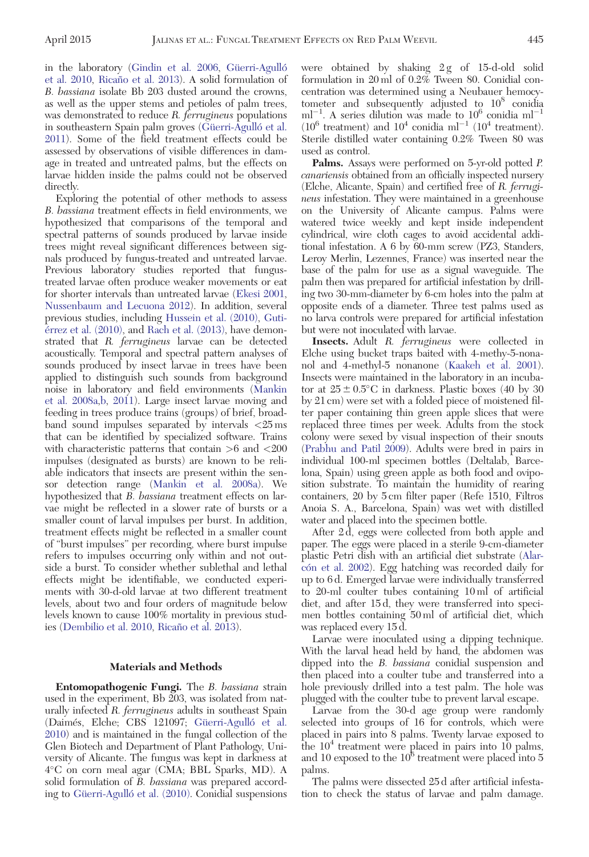in the laboratory ([Gindin et al. 2006](#page-9-0), Güerri-Agulló [et al. 2010](#page-9-0), Ricaño et al. 2013). A solid formulation of B. bassiana isolate Bb 203 dusted around the crowns, as well as the upper stems and petioles of palm trees, was demonstrated to reduce R. ferrugineus populations in southeastern Spain palm groves (Güerri-Agulló et al. [2011](#page-9-0)). Some of the field treatment effects could be assessed by observations of visible differences in damage in treated and untreated palms, but the effects on larvae hidden inside the palms could not be observed directly.

Exploring the potential of other methods to assess B. bassiana treatment effects in field environments, we hypothesized that comparisons of the temporal and spectral patterns of sounds produced by larvae inside trees might reveal significant differences between signals produced by fungus-treated and untreated larvae. Previous laboratory studies reported that fungustreated larvae often produce weaker movements or eat for shorter intervals than untreated larvae [\(Ekesi 2001](#page-9-0), [Nussenbaum and Lecuona 2012\)](#page-9-0). In addition, several previous studies, including [Hussein et al. \(2010\),](#page-9-0) [Guti-](#page-9-0)e\*rrez et al. (2010), and [Rach et al. \(2013\),](#page-9-0) have demonstrated that R. ferrugineus larvae can be detected acoustically. Temporal and spectral pattern analyses of sounds produced by insect larvae in trees have been applied to distinguish such sounds from background noise in laboratory and field environments [\(Mankin](#page-9-0) [et al. 2008a,b](#page-9-0), [2011\)](#page-9-0). Large insect larvae moving and feeding in trees produce trains (groups) of brief, broadband sound impulses separated by intervals <25 ms that can be identified by specialized software. Trains with characteristic patterns that contain >6 and <200 impulses (designated as bursts) are known to be reliable indicators that insects are present within the sensor detection range ([Mankin et al. 2008a\)](#page-9-0). We hypothesized that B. bassiana treatment effects on larvae might be reflected in a slower rate of bursts or a smaller count of larval impulses per burst. In addition, treatment effects might be reflected in a smaller count of "burst impulses" per recording, where burst impulse refers to impulses occurring only within and not outside a burst. To consider whether sublethal and lethal effects might be identifiable, we conducted experiments with 30-d-old larvae at two different treatment levels, about two and four orders of magnitude below levels known to cause 100% mortality in previous stud-ies ([Dembilio et al. 2010,](#page-9-0) Ricaño et al. 2013).

## Materials and Methods

Entomopathogenic Fungi. The B. bassiana strain used in the experiment, Bb 203, was isolated from naturally infected R. ferrugineus adults in southeast Spain (Daimés, Elche; CBS 121097; Güerri-Agulló et al. [2010](#page-9-0)) and is maintained in the fungal collection of the Glen Biotech and Department of Plant Pathology, University of Alicante. The fungus was kept in darkness at 4C on corn meal agar (CMA; BBL Sparks, MD). A solid formulation of *B. bassiana* was prepared according to Güerri-Agulló et al. (2010). Conidial suspensions were obtained by shaking 2g of 15-d-old solid formulation in 20 ml of 0.2% Tween 80. Conidial concentration was determined using a Neubauer hemocytometer and subsequently adjusted to  $10^8$  conidia  $ml^{-1}$ . A series dilution was made to  $10^6$  conidia ml<sup>-1</sup>  $(10^6 \text{ treatment})$  and  $10^4 \text{ conidia ml}^{-1}$   $(10^4 \text{ treatment})$ . Sterile distilled water containing 0.2% Tween 80 was used as control.

Palms. Assays were performed on 5-yr-old potted P. canariensis obtained from an officially inspected nursery (Elche, Alicante, Spain) and certified free of R. ferrugineus infestation. They were maintained in a greenhouse on the University of Alicante campus. Palms were watered twice weekly and kept inside independent cylindrical, wire cloth cages to avoid accidental additional infestation. A 6 by 60-mm screw (PZ3, Standers, Leroy Merlin, Lezennes, France) was inserted near the base of the palm for use as a signal waveguide. The palm then was prepared for artificial infestation by drilling two 30-mm-diameter by 6-cm holes into the palm at opposite ends of a diameter. Three test palms used as no larva controls were prepared for artificial infestation but were not inoculated with larvae.

Insects. Adult R. ferrugineus were collected in Elche using bucket traps baited with 4-methy-5-nonanol and 4-methyl-5 nonanone [\(Kaakeh et al. 2001](#page-9-0)). Insects were maintained in the laboratory in an incubator at  $25 \pm 0.5^{\circ}$ C in darkness. Plastic boxes (40 by 30 by 21 cm) were set with a folded piece of moistened filter paper containing thin green apple slices that were replaced three times per week. Adults from the stock colony were sexed by visual inspection of their snouts [\(Prabhu and Patil 2009](#page-9-0)). Adults were bred in pairs in individual 100-ml specimen bottles (Deltalab, Barcelona, Spain) using green apple as both food and oviposition substrate. To maintain the humidity of rearing containers, 20 by 5 cm filter paper (Refe 1510, Filtros Anoia S. A., Barcelona, Spain) was wet with distilled water and placed into the specimen bottle.

After 2 d, eggs were collected from both apple and paper. The eggs were placed in a sterile 9-cm-diameter plastic Petri dish with an artificial diet substrate ([Alar](#page-9-0)cón et al. 2002). Egg hatching was recorded daily for up to 6 d. Emerged larvae were individually transferred to 20-ml coulter tubes containing 10 ml of artificial diet, and after 15 d, they were transferred into specimen bottles containing 50 ml of artificial diet, which was replaced every 15 d.

Larvae were inoculated using a dipping technique. With the larval head held by hand, the abdomen was dipped into the B. bassiana conidial suspension and then placed into a coulter tube and transferred into a hole previously drilled into a test palm. The hole was plugged with the coulter tube to prevent larval escape.

Larvae from the 30-d age group were randomly selected into groups of 16 for controls, which were placed in pairs into 8 palms. Twenty larvae exposed to the  $10<sup>4</sup>$  treatment were placed in pairs into 10 palms, and 10 exposed to the  $10^6$  treatment were placed into 5 palms.

The palms were dissected 25 d after artificial infestation to check the status of larvae and palm damage.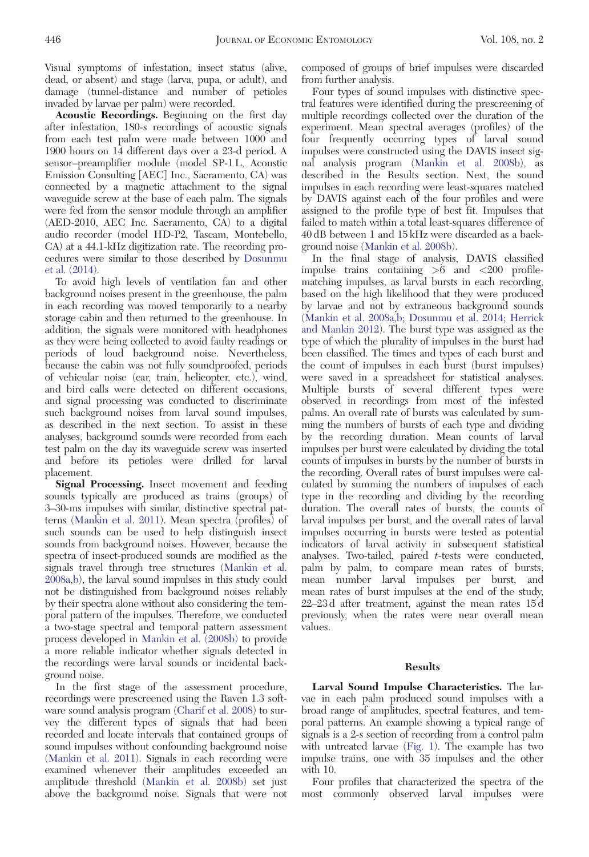Visual symptoms of infestation, insect status (alive, dead, or absent) and stage (larva, pupa, or adult), and damage (tunnel-distance and number of petioles invaded by larvae per palm) were recorded.

Acoustic Recordings. Beginning on the first day after infestation, 180-s recordings of acoustic signals from each test palm were made between 1000 and 1900 hours on 14 different days over a 23-d period. A sensor–preamplifier module (model SP-1 L, Acoustic Emission Consulting [AEC] Inc., Sacramento, CA) was connected by a magnetic attachment to the signal waveguide screw at the base of each palm. The signals were fed from the sensor module through an amplifier (AED-2010, AEC Inc. Sacramento, CA) to a digital audio recorder (model HD-P2, Tascam, Montebello, CA) at a 44.1-kHz digitization rate. The recording procedures were similar to those described by [Dosunmu](#page-9-0) [et al. \(2014\)](#page-9-0).

To avoid high levels of ventilation fan and other background noises present in the greenhouse, the palm in each recording was moved temporarily to a nearby storage cabin and then returned to the greenhouse. In addition, the signals were monitored with headphones as they were being collected to avoid faulty readings or periods of loud background noise. Nevertheless, because the cabin was not fully soundproofed, periods of vehicular noise (car, train, helicopter, etc.), wind, and bird calls were detected on different occasions, and signal processing was conducted to discriminate such background noises from larval sound impulses, as described in the next section. To assist in these analyses, background sounds were recorded from each test palm on the day its waveguide screw was inserted and before its petioles were drilled for larval placement.

Signal Processing. Insect movement and feeding sounds typically are produced as trains (groups) of 3–30-ms impulses with similar, distinctive spectral patterns [\(Mankin et al. 2011](#page-9-0)). Mean spectra (profiles) of such sounds can be used to help distinguish insect sounds from background noises. However, because the spectra of insect-produced sounds are modified as the signals travel through tree structures [\(Mankin et al.](#page-9-0)  $2008a,b)$  $2008a,b)$ , the larval sound impulses in this study could not be distinguished from background noises reliably by their spectra alone without also considering the temporal pattern of the impulses. Therefore, we conducted a two-stage spectral and temporal pattern assessment process developed in [Mankin et al. \(2008b\)](#page-9-0) to provide a more reliable indicator whether signals detected in the recordings were larval sounds or incidental background noise.

In the first stage of the assessment procedure, recordings were prescreened using the Raven 1.3 software sound analysis program ([Charif et al. 2008\)](#page-9-0) to survey the different types of signals that had been recorded and locate intervals that contained groups of sound impulses without confounding background noise ([Mankin et al. 2011\)](#page-9-0). Signals in each recording were examined whenever their amplitudes exceeded an amplitude threshold ([Mankin et al. 2008b](#page-9-0)) set just above the background noise. Signals that were not

composed of groups of brief impulses were discarded from further analysis.

Four types of sound impulses with distinctive spectral features were identified during the prescreening of multiple recordings collected over the duration of the experiment. Mean spectral averages (profiles) of the four frequently occurring types of larval sound impulses were constructed using the DAVIS insect signal analysis program ([Mankin et al. 2008b](#page-9-0)), as described in the Results section. Next, the sound impulses in each recording were least-squares matched by DAVIS against each of the four profiles and were assigned to the profile type of best fit. Impulses that failed to match within a total least-squares difference of 40 dB between 1 and 15 kHz were discarded as a background noise [\(Mankin et al. 2008b\)](#page-9-0).

In the final stage of analysis, DAVIS classified impulse trains containing  $>6$  and  $< 200$  profilematching impulses, as larval bursts in each recording, based on the high likelihood that they were produced by larvae and not by extraneous background sounds [\(Mankin et al. 2008a](#page-9-0),[b](#page-9-0); [Dosunmu et al. 2014](#page-9-0); [Herrick](#page-9-0) [and Mankin 2012\)](#page-9-0). The burst type was assigned as the type of which the plurality of impulses in the burst had been classified. The times and types of each burst and the count of impulses in each burst (burst impulses) were saved in a spreadsheet for statistical analyses. Multiple bursts of several different types were observed in recordings from most of the infested palms. An overall rate of bursts was calculated by summing the numbers of bursts of each type and dividing by the recording duration. Mean counts of larval impulses per burst were calculated by dividing the total counts of impulses in bursts by the number of bursts in the recording. Overall rates of burst impulses were calculated by summing the numbers of impulses of each type in the recording and dividing by the recording duration. The overall rates of bursts, the counts of larval impulses per burst, and the overall rates of larval impulses occurring in bursts were tested as potential indicators of larval activity in subsequent statistical analyses. Two-tailed, paired t-tests were conducted, palm by palm, to compare mean rates of bursts, mean number larval impulses per burst, and mean rates of burst impulses at the end of the study, 22–23 d after treatment, against the mean rates 15 d previously, when the rates were near overall mean values.

### Results

Larval Sound Impulse Characteristics. The larvae in each palm produced sound impulses with a broad range of amplitudes, spectral features, and temporal patterns. An example showing a typical range of signals is a 2-s section of recording from a control palm with untreated larvae [\(Fig. 1\)](#page-3-0). The example has two impulse trains, one with 35 impulses and the other with 10.

Four profiles that characterized the spectra of the most commonly observed larval impulses were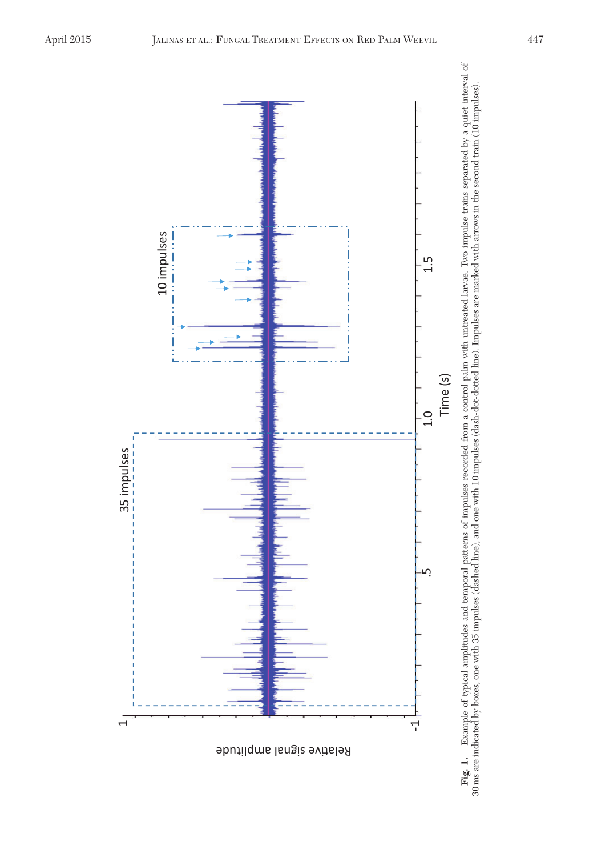<span id="page-3-0"></span>

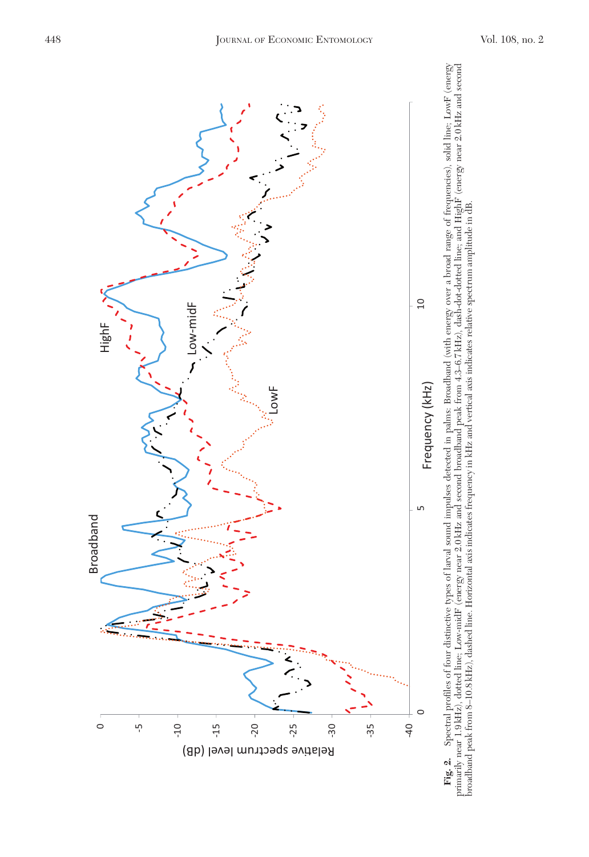<span id="page-4-0"></span>

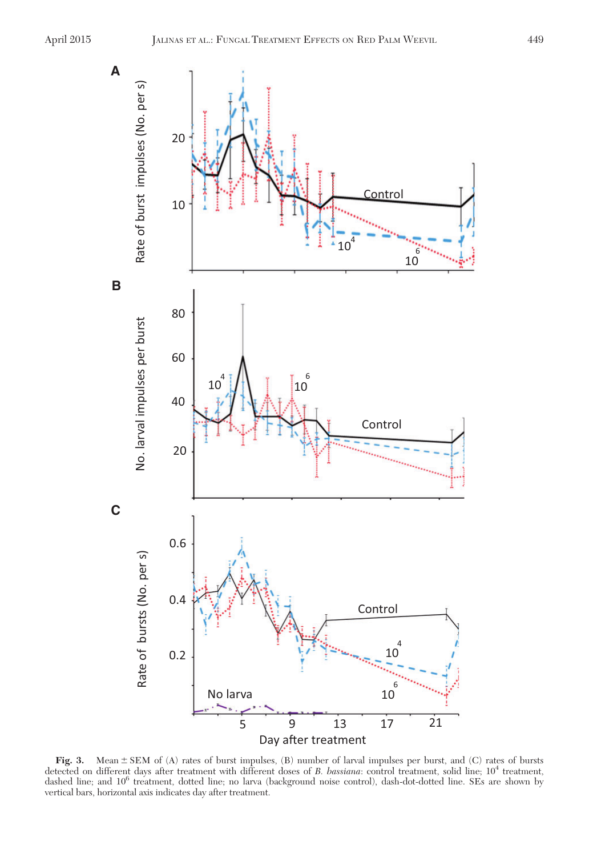<span id="page-5-0"></span>

Fig. 3. Mean  $\pm$  SEM of (A) rates of burst impulses, (B) number of larval impulses per burst, and (C) rates of bursts detected on different days after treatment with different doses of B. bassiana: control treatment, solid line;  $10^4$  treatment, dashed line; and 106 treatment, dotted line; no larva (background noise control), dash-dot-dotted line. SEs are shown by vertical bars, horizontal axis indicates day after treatment.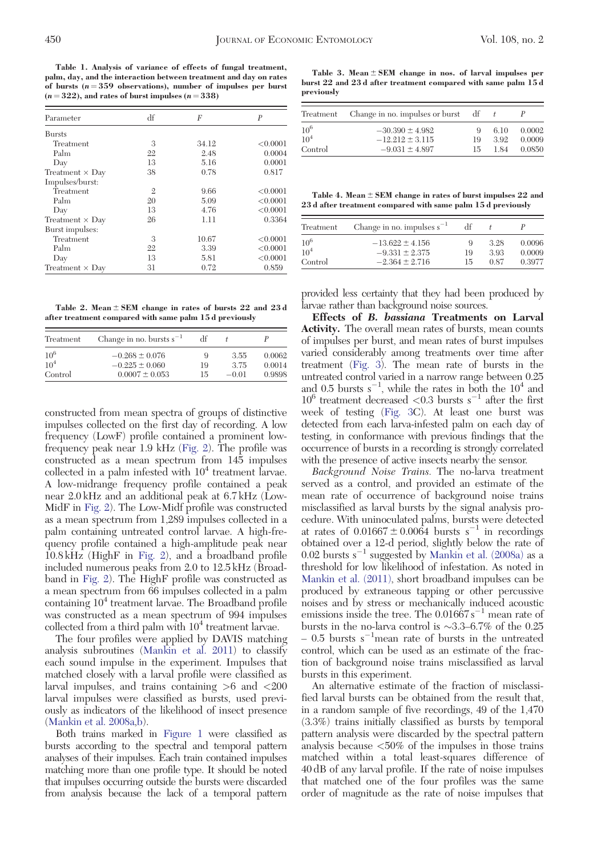<span id="page-6-0"></span>Table 1. Analysis of variance of effects of fungal treatment, palm, day, and the interaction between treatment and day on rates of bursts  $(n = 359$  observations), number of impulses per burst  $(n = 322)$ , and rates of burst impulses  $(n = 338)$ 

| Parameter              | df             | F     | P        |
|------------------------|----------------|-------|----------|
| <b>Bursts</b>          |                |       |          |
| Treatment              | 3              | 34.12 | < 0.0001 |
| Palm                   | 22             | 2.48  | 0.0004   |
| Day                    | 13             | 5.16  | 0.0001   |
| Treatment $\times$ Day | 38             | 0.78  | 0.817    |
| Impulses/burst:        |                |       |          |
| Treatment              | $\mathfrak{2}$ | 9.66  | < 0.0001 |
| Palm                   | 20             | 5.09  | < 0.0001 |
| Day                    | 13             | 4.76  | < 0.0001 |
| Treatment $\times$ Day | 26             | 1.11  | 0.3364   |
| Burst impulses:        |                |       |          |
| Treatment              | 3              | 10.67 | < 0.0001 |
| Palm                   | 22             | 3.39  | < 0.0001 |
| Day                    | 13             | 5.81  | < 0.0001 |
| Treatment $\times$ Day | 31             | 0.72  | 0.859    |

Table 2. Mean  $\pm$  SEM change in rates of bursts 22 and 23 d after treatment compared with same palm 15 d previously

| Treatment | Change in no. bursts $s^{-1}$ | df |         |        |
|-----------|-------------------------------|----|---------|--------|
| $10^{6}$  | $-0.268 \pm 0.076$            | 9  | 3.55    | 0.0062 |
| $10^4$    | $-0.225 \pm 0.060$            | 19 | 375     | 0.0014 |
| Control   | $0.0007 \pm 0.053$            | 15 | $-0.01$ | 0.9898 |

constructed from mean spectra of groups of distinctive impulses collected on the first day of recording. A low frequency (LowF) profile contained a prominent lowfrequency peak near 1.9 kHz [\(Fig. 2\)](#page-4-0). The profile was constructed as a mean spectrum from 145 impulses collected in a palm infested with  $10<sup>4</sup>$  treatment larvae. A low-midrange frequency profile contained a peak near 2.0 kHz and an additional peak at 6.7 kHz (Low-MidF in [Fig. 2](#page-4-0)). The Low-Midf profile was constructed as a mean spectrum from 1,289 impulses collected in a palm containing untreated control larvae. A high-frequency profile contained a high-amplitude peak near 10.8 kHz (HighF in [Fig. 2](#page-4-0)), and a broadband profile included numerous peaks from 2.0 to 12.5 kHz (Broadband in [Fig. 2](#page-4-0)). The HighF profile was constructed as a mean spectrum from 66 impulses collected in a palm containing  $10<sup>4</sup>$  treatment larvae. The Broadband profile was constructed as a mean spectrum of 994 impulses collected from a third palm with  $10<sup>4</sup>$  treatment larvae.

The four profiles were applied by DAVIS matching analysis subroutines [\(Mankin et al. 2011](#page-9-0)) to classify each sound impulse in the experiment. Impulses that matched closely with a larval profile were classified as larval impulses, and trains containing >6 and <200 larval impulses were classified as bursts, used previously as indicators of the likelihood of insect presence ([Mankin et al. 2008a,b\)](#page-9-0).

Both trains marked in [Figure 1](#page-3-0) were classified as bursts according to the spectral and temporal pattern analyses of their impulses. Each train contained impulses matching more than one profile type. It should be noted that impulses occurring outside the bursts were discarded from analysis because the lack of a temporal pattern

Table 3. Mean  $\pm$  SEM change in nos. of larval impulses per burst 22 and 23 d after treatment compared with same palm 15 d previously

| Treatment       | Change in no. impulses or burst | df |      |        |
|-----------------|---------------------------------|----|------|--------|
| $10^{6}$        | $-30.390 \pm 4.982$             | 9  | 6.10 | 0.0002 |
| 10 <sup>4</sup> | $-12.212 \pm 3.115$             | 19 | 392  | 0.0009 |
| Control         | $-9.031 \pm 4.897$              | 15 | 1.84 | 0.0850 |

Table 4. Mean  $\pm$  SEM change in rates of burst impulses 22 and 23 d after treatment compared with same palm 15 d previously

| Treatment | Change in no. impulses $s^{-1}$ | df |      |        |
|-----------|---------------------------------|----|------|--------|
| $10^{6}$  | $-13.622 \pm 4.156$             | 9  | 3.28 | 0.0096 |
| $10^4$    | $-9.331 \pm 2.375$              | 19 | 3.93 | 0.0009 |
| Control   | $-2.364 \pm 2.716$              | 15 | 0.87 | 0.3977 |

provided less certainty that they had been produced by larvae rather than background noise sources.

Effects of B. bassiana Treatments on Larval Activity. The overall mean rates of bursts, mean counts of impulses per burst, and mean rates of burst impulses varied considerably among treatments over time after treatment ([Fig. 3](#page-5-0)). The mean rate of bursts in the untreated control varied in a narrow range between 0.25 and 0.5 bursts  $s^{-1}$ , while the rates in both the  $10^4$  and  $10^6$  treatment decreased  $<\!\!0.3$  bursts  $\rm s^{-1}$  after the first week of testing [\(Fig. 3](#page-5-0)C). At least one burst was detected from each larva-infested palm on each day of testing, in conformance with previous findings that the occurrence of bursts in a recording is strongly correlated with the presence of active insects nearby the sensor.

Background Noise Trains. The no-larva treatment served as a control, and provided an estimate of the mean rate of occurrence of background noise trains misclassified as larval bursts by the signal analysis procedure. With uninoculated palms, bursts were detected at rates of  $0.01667 \pm 0.0064$  bursts s<sup>-1</sup> in recordings obtained over a 12-d period, slightly below the rate of  $0.02$  bursts  $s^{-1}$  suggested by [Mankin et al. \(2008a\)](#page-9-0) as a threshold for low likelihood of infestation. As noted in [Mankin et al. \(2011\),](#page-9-0) short broadband impulses can be produced by extraneous tapping or other percussive noises and by stress or mechanically induced acoustic emissions inside the tree. The  $0.01667 s^{-1}$  mean rate of bursts in the no-larva control is  $\sim$ 3.3–6.7% of the 0.25  $-0.5$  bursts s<sup>-1</sup>mean rate of bursts in the untreated control, which can be used as an estimate of the fraction of background noise trains misclassified as larval bursts in this experiment.

An alternative estimate of the fraction of misclassified larval bursts can be obtained from the result that, in a random sample of five recordings, 49 of the 1,470 (3.3%) trains initially classified as bursts by temporal pattern analysis were discarded by the spectral pattern analysis because <50% of the impulses in those trains matched within a total least-squares difference of 40 dB of any larval profile. If the rate of noise impulses that matched one of the four profiles was the same order of magnitude as the rate of noise impulses that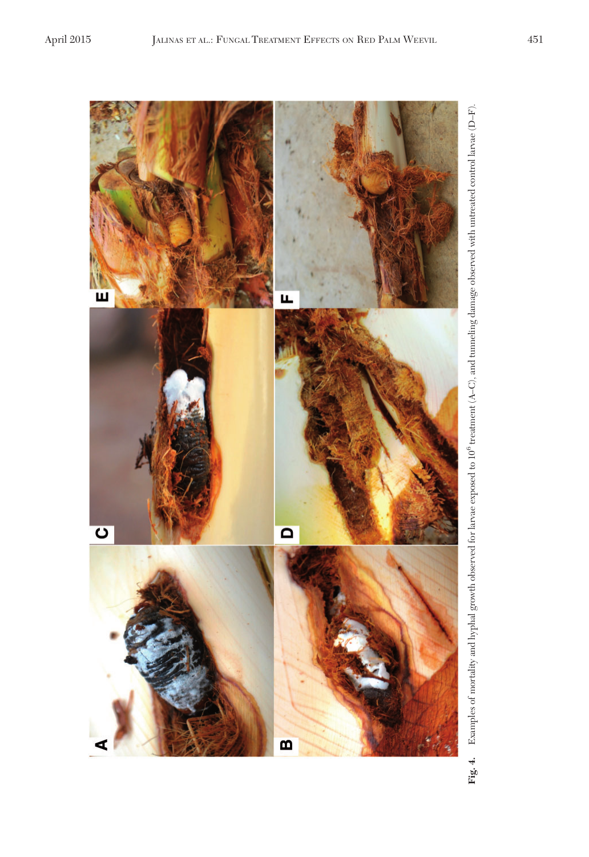<span id="page-7-0"></span>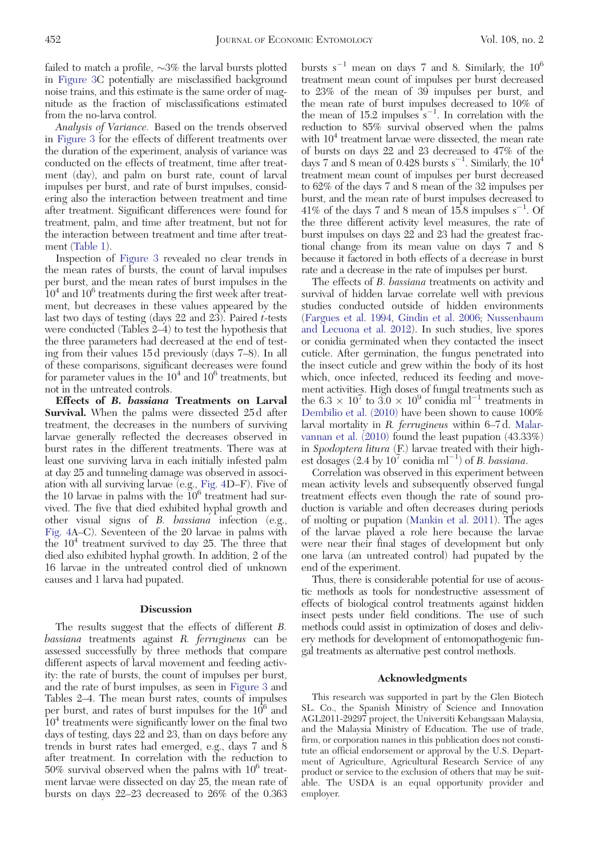failed to match a profile,  $\sim 3\%$  the larval bursts plotted in [Figure 3](#page-5-0)C potentially are misclassified background noise trains, and this estimate is the same order of magnitude as the fraction of misclassifications estimated from the no-larva control.

Analysis of Variance. Based on the trends observed in [Figure 3](#page-5-0) for the effects of different treatments over the duration of the experiment, analysis of variance was conducted on the effects of treatment, time after treatment (day), and palm on burst rate, count of larval impulses per burst, and rate of burst impulses, considering also the interaction between treatment and time after treatment. Significant differences were found for treatment, palm, and time after treatment, but not for the interaction between treatment and time after treatment [\(Table 1\)](#page-6-0).

Inspection of [Figure 3](#page-5-0) revealed no clear trends in the mean rates of bursts, the count of larval impulses per burst, and the mean rates of burst impulses in the  $10<sup>4</sup>$  and  $10<sup>6</sup>$  treatments during the first week after treatment, but decreases in these values appeared by the last two days of testing (days  $22$  and  $23$ ). Paired t-tests were conducted (Tables 2–4) to test the hypothesis that the three parameters had decreased at the end of testing from their values 15 d previously (days 7–8). In all of these comparisons, significant decreases were found for parameter values in the  $10^4$  and  $10^6$  treatments, but not in the untreated controls.

Effects of B. bassiana Treatments on Larval **Survival.** When the palms were dissected 25d after treatment, the decreases in the numbers of surviving larvae generally reflected the decreases observed in burst rates in the different treatments. There was at least one surviving larva in each initially infested palm at day 25 and tunneling damage was observed in associ-ation with all surviving larvae (e.g., [Fig. 4](#page-7-0)D–F). Five of<br>the 10 larvae in palms with the 10<sup>6</sup> treatment had survived. The five that died exhibited hyphal growth and other visual signs of B. bassiana infection (e.g., [Fig. 4A](#page-7-0)–C). Seventeen of the 20 larvae in palms with the  $10<sup>4</sup>$  treatment survived to day 25. The three that died also exhibited hyphal growth. In addition, 2 of the 16 larvae in the untreated control died of unknown causes and 1 larva had pupated.

### **Discussion**

The results suggest that the effects of different B. bassiana treatments against R. ferrugineus can be assessed successfully by three methods that compare different aspects of larval movement and feeding activity: the rate of bursts, the count of impulses per burst, and the rate of burst impulses, as seen in [Figure 3](#page-5-0) and Tables 2–4. The mean burst rates, counts of impulses per burst, and rates of burst impulses for the 10<sup>6</sup> and  $10<sup>4</sup>$  treatments were significantly lower on the final two days of testing, days 22 and 23, than on days before any trends in burst rates had emerged, e.g., days 7 and 8 after treatment. In correlation with the reduction to  $50\%$  survival observed when the palms with  $10^6$  treatment larvae were dissected on day 25, the mean rate of bursts on days 22–23 decreased to 26% of the 0.363

bursts  $s^{-1}$  mean on days 7 and 8. Similarly, the  $10^6$ treatment mean count of impulses per burst decreased to 23% of the mean of 39 impulses per burst, and the mean rate of burst impulses decreased to 10% of the mean of  $15.2$  impulses  $s^{-1}$ . In correlation with the reduction to 85% survival observed when the palms with  $10<sup>4</sup>$  treatment larvae were dissected, the mean rate of bursts on days 22 and 23 decreased to 47% of the days 7 and 8 mean of 0.428 bursts  $s^{-1}$ . Similarly, the  $10^4$ treatment mean count of impulses per burst decreased to 62% of the days 7 and 8 mean of the 32 impulses per burst, and the mean rate of burst impulses decreased to  $41\%$  of the days 7 and 8 mean of 15.8 impulses s<sup>-1</sup>. Of the three different activity level measures, the rate of burst impulses on days 22 and 23 had the greatest fractional change from its mean value on days 7 and 8 because it factored in both effects of a decrease in burst rate and a decrease in the rate of impulses per burst.

The effects of *B. bassiana* treatments on activity and survival of hidden larvae correlate well with previous studies conducted outside of hidden environments [\(Fargues et al. 1994](#page-9-0), [Gindin et al. 2006;](#page-9-0) [Nussenbaum](#page-9-0) [and Lecuona et al. 2012\)](#page-9-0). In such studies, live spores or conidia germinated when they contacted the insect cuticle. After germination, the fungus penetrated into the insect cuticle and grew within the body of its host which, once infected, reduced its feeding and movement activities. High doses of fungal treatments such as the  $6.3 \times 10^7$  to  $3.0 \times 10^9$  conidia ml<sup>-1</sup> treatments in [Dembilio et al. \(2010\)](#page-9-0) have been shown to cause 100% larval mortality in R. ferrugineus within 6–7 d. [Malar](#page-9-0)[vannan et al. \(2010\)](#page-9-0) found the least pupation (43.33%) in Spodoptera litura (F.) larvae treated with their highest dosages (2.4 by  $10^7$  conidia ml<sup>-1</sup>) of *B. bassiana*.

Correlation was observed in this experiment between mean activity levels and subsequently observed fungal treatment effects even though the rate of sound production is variable and often decreases during periods of molting or pupation [\(Mankin et al. 2011](#page-9-0)). The ages of the larvae played a role here because the larvae were near their final stages of development but only one larva (an untreated control) had pupated by the end of the experiment.

Thus, there is considerable potential for use of acoustic methods as tools for nondestructive assessment of effects of biological control treatments against hidden insect pests under field conditions. The use of such methods could assist in optimization of doses and delivery methods for development of entomopathogenic fungal treatments as alternative pest control methods.

#### Acknowledgments

This research was supported in part by the Glen Biotech SL. Co., the Spanish Ministry of Science and Innovation AGL2011-29297 project, the Universiti Kebangsaan Malaysia, and the Malaysia Ministry of Education. The use of trade, firm, or corporation names in this publication does not constitute an official endorsement or approval by the U.S. Department of Agriculture, Agricultural Research Service of any product or service to the exclusion of others that may be suitable. The USDA is an equal opportunity provider and employer.